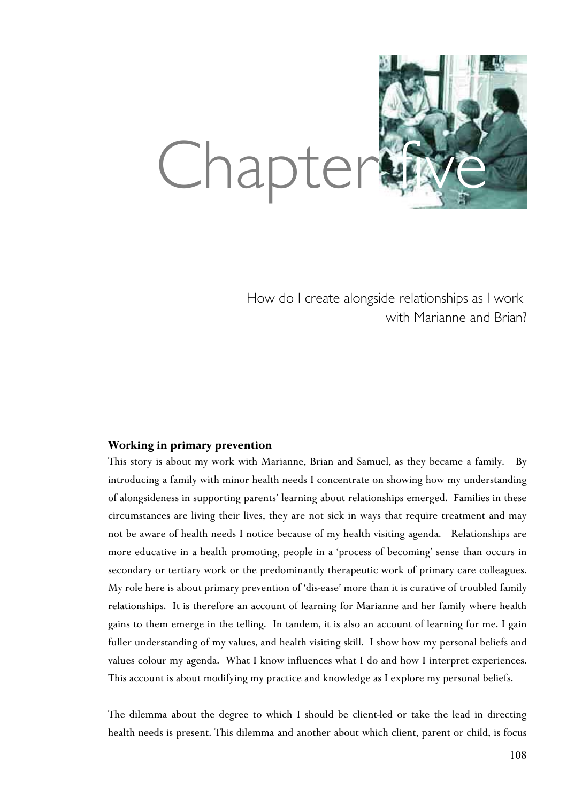

How do I create alongside relationships as I work with Marianne and Brian?

# **Working in primary prevention**

This story is about my work with Marianne, Brian and Samuel, as they became a family. By introducing a family with minor health needs I concentrate on showing how my understanding of alongsideness in supporting parents' learning about relationships emerged. Families in these circumstances are living their lives, they are not sick in ways that require treatment and may not be aware of health needs I notice because of my health visiting agenda. Relationships are more educative in a health promoting, people in a 'process of becoming' sense than occurs in secondary or tertiary work or the predominantly therapeutic work of primary care colleagues. My role here is about primary prevention of 'dis-ease' more than it is curative of troubled family relationships. It is therefore an account of learning for Marianne and her family where health gains to them emerge in the telling. In tandem, it is also an account of learning for me. I gain fuller understanding of my values, and health visiting skill. I show how my personal beliefs and values colour my agenda. What I know influences what I do and how I interpret experiences. This account is about modifying my practice and knowledge as I explore my personal beliefs.

The dilemma about the degree to which I should be client-led or take the lead in directing health needs is present. This dilemma and another about which client, parent or child, is focus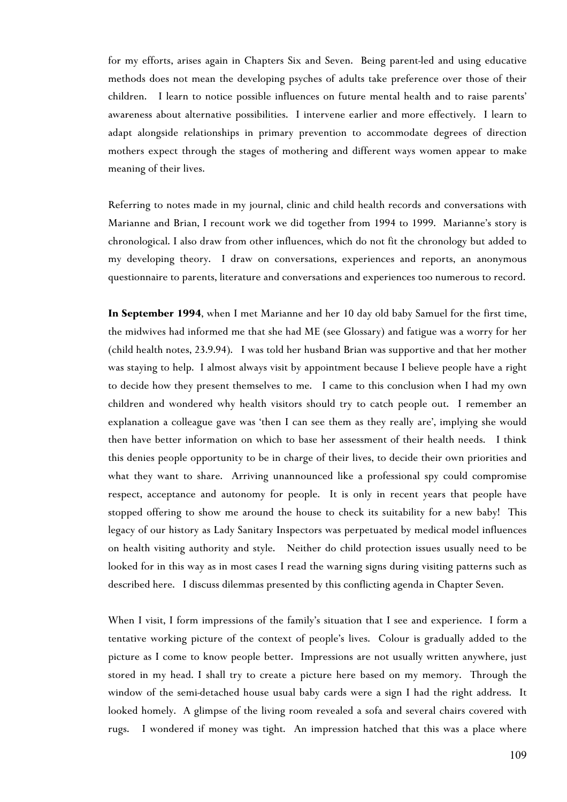for my efforts, arises again in Chapters Six and Seven. Being parent-led and using educative methods does not mean the developing psyches of adults take preference over those of their children. I learn to notice possible influences on future mental health and to raise parents' awareness about alternative possibilities. I intervene earlier and more effectively. I learn to adapt alongside relationships in primary prevention to accommodate degrees of direction mothers expect through the stages of mothering and different ways women appear to make meaning of their lives.

Referring to notes made in my journal, clinic and child health records and conversations with Marianne and Brian, I recount work we did together from 1994 to 1999. Marianne's story is chronological. I also draw from other influences, which do not fit the chronology but added to my developing theory. I draw on conversations, experiences and reports, an anonymous questionnaire to parents, literature and conversations and experiences too numerous to record.

**In September 1994**, when I met Marianne and her 10 day old baby Samuel for the first time, the midwives had informed me that she had ME (see Glossary) and fatigue was a worry for her (child health notes, 23.9.94). I was told her husband Brian was supportive and that her mother was staying to help. I almost always visit by appointment because I believe people have a right to decide how they present themselves to me. I came to this conclusion when I had my own children and wondered why health visitors should try to catch people out. I remember an explanation a colleague gave was 'then I can see them as they really are', implying she would then have better information on which to base her assessment of their health needs. I think this denies people opportunity to be in charge of their lives, to decide their own priorities and what they want to share. Arriving unannounced like a professional spy could compromise respect, acceptance and autonomy for people. It is only in recent years that people have stopped offering to show me around the house to check its suitability for a new baby! This legacy of our history as Lady Sanitary Inspectors was perpetuated by medical model influences on health visiting authority and style. Neither do child protection issues usually need to be looked for in this way as in most cases I read the warning signs during visiting patterns such as described here. I discuss dilemmas presented by this conflicting agenda in Chapter Seven.

When I visit, I form impressions of the family's situation that I see and experience. I form a tentative working picture of the context of people's lives. Colour is gradually added to the picture as I come to know people better. Impressions are not usually written anywhere, just stored in my head. I shall try to create a picture here based on my memory. Through the window of the semi-detached house usual baby cards were a sign I had the right address. It looked homely. A glimpse of the living room revealed a sofa and several chairs covered with rugs. I wondered if money was tight. An impression hatched that this was a place where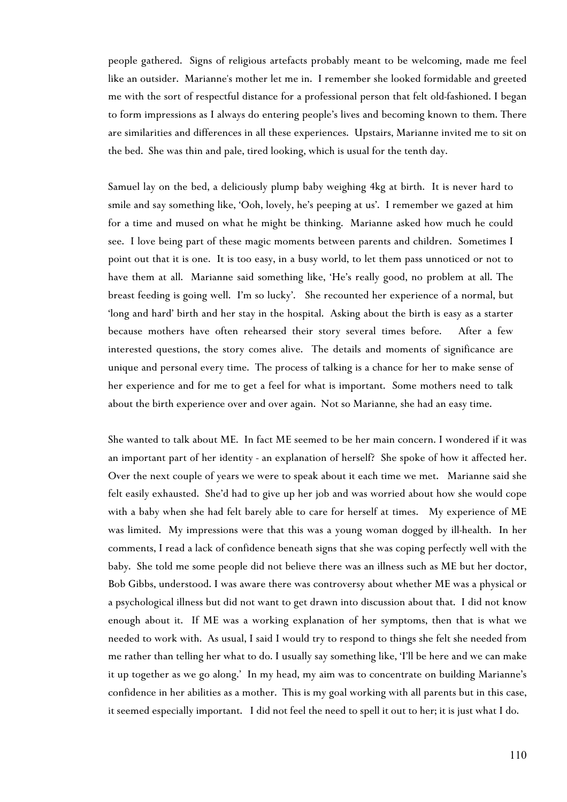people gathered. Signs of religious artefacts probably meant to be welcoming, made me feel like an outsider. Marianne's mother let me in. I remember she looked formidable and greeted me with the sort of respectful distance for a professional person that felt old-fashioned. I began to form impressions as I always do entering people's lives and becoming known to them. There are similarities and differences in all these experiences. Upstairs, Marianne invited me to sit on the bed. She was thin and pale, tired looking, which is usual for the tenth day.

Samuel lay on the bed, a deliciously plump baby weighing 4kg at birth. It is never hard to smile and say something like, 'Ooh, lovely, he's peeping at us'. I remember we gazed at him for a time and mused on what he might be thinking. Marianne asked how much he could see. I love being part of these magic moments between parents and children. Sometimes I point out that it is one. It is too easy, in a busy world, to let them pass unnoticed or not to have them at all. Marianne said something like, 'He's really good, no problem at all. The breast feeding is going well. I'm so lucky'. She recounted her experience of a normal, but 'long and hard' birth and her stay in the hospital. Asking about the birth is easy as a starter because mothers have often rehearsed their story several times before. After a few interested questions, the story comes alive. The details and moments of significance are unique and personal every time. The process of talking is a chance for her to make sense of her experience and for me to get a feel for what is important. Some mothers need to talk about the birth experience over and over again. Not so Marianne*,* she had an easy time.

She wanted to talk about ME. In fact ME seemed to be her main concern. I wondered if it was an important part of her identity - an explanation of herself? She spoke of how it affected her. Over the next couple of years we were to speak about it each time we met. Marianne said she felt easily exhausted. She'd had to give up her job and was worried about how she would cope with a baby when she had felt barely able to care for herself at times. My experience of ME was limited. My impressions were that this was a young woman dogged by ill-health. In her comments, I read a lack of confidence beneath signs that she was coping perfectly well with the baby. She told me some people did not believe there was an illness such as ME but her doctor, Bob Gibbs, understood. I was aware there was controversy about whether ME was a physical or a psychological illness but did not want to get drawn into discussion about that. I did not know enough about it. If ME was a working explanation of her symptoms, then that is what we needed to work with. As usual, I said I would try to respond to things she felt she needed from me rather than telling her what to do. I usually say something like, 'I'll be here and we can make it up together as we go along.' In my head, my aim was to concentrate on building Marianne's confidence in her abilities as a mother. This is my goal working with all parents but in this case, it seemed especially important. I did not feel the need to spell it out to her; it is just what I do.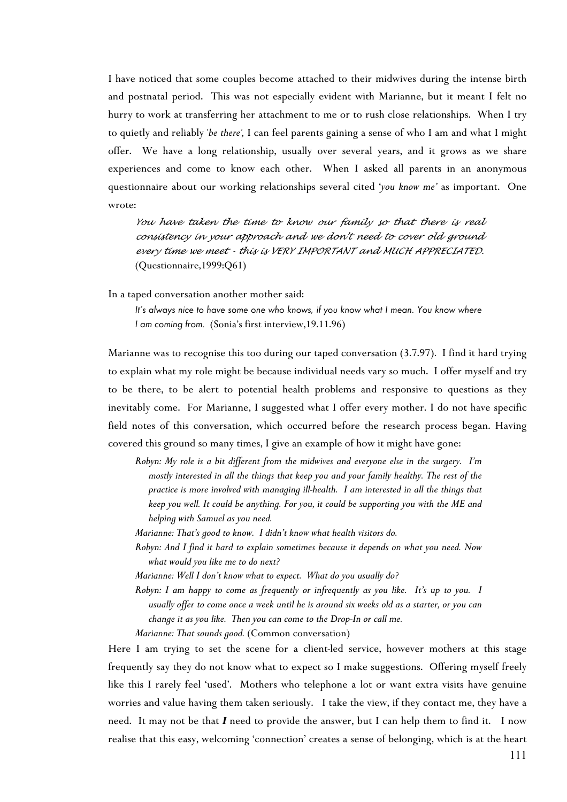I have noticed that some couples become attached to their midwives during the intense birth and postnatal period. This was not especially evident with Marianne, but it meant I felt no hurry to work at transferring her attachment to me or to rush close relationships. When I try to quietly and reliably '*be there',* I can feel parents gaining a sense of who I am and what I might offer. We have a long relationship, usually over several years, and it grows as we share experiences and come to know each other. When I asked all parents in an anonymous questionnaire about our working relationships several cited '*you know me'* as important. One wrote:

*You have taken the time to know our family so that there is real consistency in your approach and we don't need to cover old ground every time we meet - this is VERY IMPORTANT and MUCH APPRECIATED.* (Questionnaire,1999:Q61)

In a taped conversation another mother said:

*It's always nice to have some one who knows, if you know what I mean. You know where I am coming from.* (Sonia's first interview,19.11.96)

Marianne was to recognise this too during our taped conversation (3.7.97). I find it hard trying to explain what my role might be because individual needs vary so much. I offer myself and try to be there, to be alert to potential health problems and responsive to questions as they inevitably come. For Marianne, I suggested what I offer every mother. I do not have specific field notes of this conversation, which occurred before the research process began. Having covered this ground so many times, I give an example of how it might have gone:

*Robyn: My role is a bit different from the midwives and everyone else in the surgery. I'm mostly interested in all the things that keep you and your family healthy. The rest of the practice is more involved with managing ill-health. I am interested in all the things that keep you well. It could be anything. For you, it could be supporting you with the ME and helping with Samuel as you need.*

- *Marianne: That's good to know. I didn't know what health visitors do.*
- *Robyn: And I find it hard to explain sometimes because it depends on what you need. Now what would you like me to do next?*
- *Marianne: Well I don't know what to expect. What do you usually do?*

*Robyn: I am happy to come as frequently or infrequently as you like. It's up to you. I usually offer to come once a week until he is around six weeks old as a starter, or you can change it as you like. Then you can come to the Drop-In or call me.*

*Marianne: That sounds good.* (Common conversation)

Here I am trying to set the scene for a client-led service, however mothers at this stage frequently say they do not know what to expect so I make suggestions. Offering myself freely like this I rarely feel 'used'. Mothers who telephone a lot or want extra visits have genuine worries and value having them taken seriously. I take the view, if they contact me, they have a need. It may not be that *I* need to provide the answer, but I can help them to find it. I now realise that this easy, welcoming 'connection' creates a sense of belonging, which is at the heart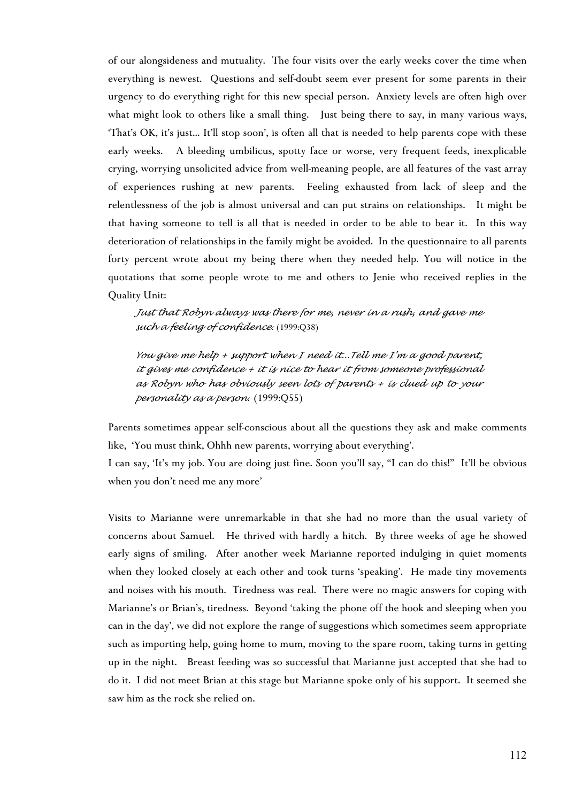of our alongsideness and mutuality. The four visits over the early weeks cover the time when everything is newest. Questions and self-doubt seem ever present for some parents in their urgency to do everything right for this new special person. Anxiety levels are often high over what might look to others like a small thing. Just being there to say, in many various ways, 'That's OK, it's just... It'll stop soon', is often all that is needed to help parents cope with these early weeks. A bleeding umbilicus, spotty face or worse, very frequent feeds, inexplicable crying, worrying unsolicited advice from well-meaning people, are all features of the vast array of experiences rushing at new parents. Feeling exhausted from lack of sleep and the relentlessness of the job is almost universal and can put strains on relationships. It might be that having someone to tell is all that is needed in order to be able to bear it. In this way deterioration of relationships in the family might be avoided. In the questionnaire to all parents forty percent wrote about my being there when they needed help. You will notice in the quotations that some people wrote to me and others to Jenie who received replies in the Quality Unit:

*Just that Robyn always was there for me, never in a rush, and gave me such a feeling of confidence.* (1999:Q38)

*You give me help + support when I need it...Tell me I'm a good parent, it gives me confidence + it is nice to hear it from someone professional as Robyn who has obviously seen lots of parents + is clued up to your personality as a person*. (1999:Q55)

Parents sometimes appear self-conscious about all the questions they ask and make comments like, 'You must think, Ohhh new parents, worrying about everything'.

I can say, 'It's my job. You are doing just fine. Soon you'll say, "I can do this!" It'll be obvious when you don't need me any more'

Visits to Marianne were unremarkable in that she had no more than the usual variety of concerns about Samuel. He thrived with hardly a hitch. By three weeks of age he showed early signs of smiling. After another week Marianne reported indulging in quiet moments when they looked closely at each other and took turns 'speaking'. He made tiny movements and noises with his mouth. Tiredness was real. There were no magic answers for coping with Marianne's or Brian's, tiredness. Beyond 'taking the phone off the hook and sleeping when you can in the day', we did not explore the range of suggestions which sometimes seem appropriate such as importing help, going home to mum, moving to the spare room, taking turns in getting up in the night. Breast feeding was so successful that Marianne just accepted that she had to do it. I did not meet Brian at this stage but Marianne spoke only of his support. It seemed she saw him as the rock she relied on.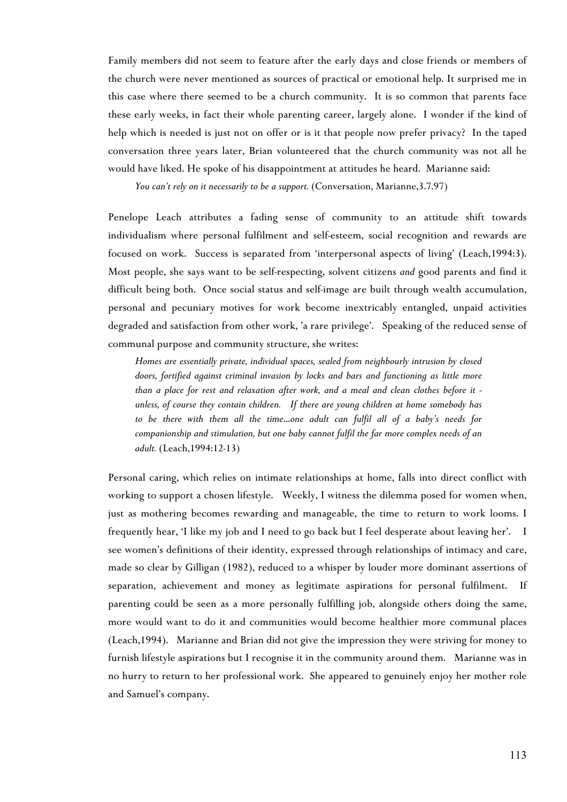Family members did not seem to feature after the early days and close friends or members of the church were never mentioned as sources of practical or emotional help. It surprised me in this case where there seemed to be a church community. It is so common that parents face these early weeks, in fact their whole parenting career, largely alone. I wonder if the kind of help which is needed is just not on offer or is it that people now prefer privacy? In the taped conversation three years later, Brian volunteered that the church community was not all he would have liked. He spoke of his disappointment at attitudes he heard. Marianne said:

*You can't rely on it necessarily to be a support.* (Conversation, Marianne,3.7.97)

Penelope Leach attributes a fading sense of community to an attitude shift towards individualism where personal fulfilment and self-esteem, social recognition and rewards are focused on work. Success is separated from 'interpersonal aspects of living' (Leach,1994:3). Most people, she says want to be self-respecting, solvent citizens *and* good parents and find it difficult being both. Once social status and self-image are built through wealth accumulation, personal and pecuniary motives for work become inextricably entangled, unpaid activities degraded and satisfaction from other work, 'a rare privilege'. Speaking of the reduced sense of communal purpose and community structure, she writes:

*Homes are essentially private, individual spaces, sealed from neighbourly intrusion by closed doors, fortified against criminal invasion by locks and bars and functioning as little more than a place for rest and relaxation after work, and a meal and clean clothes before it unless, of course they contain children. If there are young children at home somebody has to be there with them all the time*...*one adult can fulfil all of a baby's needs for companionship and stimulation, but one baby cannot fulfil the far more complex needs of an adult.* (Leach,1994:12-13)

Personal caring, which relies on intimate relationships at home, falls into direct conflict with working to support a chosen lifestyle. Weekly, I witness the dilemma posed for women when, just as mothering becomes rewarding and manageable, the time to return to work looms. I frequently hear, 'I like my job and I need to go back but I feel desperate about leaving her'. I see women's definitions of their identity, expressed through relationships of intimacy and care, made so clear by Gilligan (1982), reduced to a whisper by louder more dominant assertions of separation, achievement and money as legitimate aspirations for personal fulfilment. If parenting could be seen as a more personally fulfilling job, alongside others doing the same, more would want to do it and communities would become healthier more communal places (Leach,1994). Marianne and Brian did not give the impression they were striving for money to furnish lifestyle aspirations but I recognise it in the community around them. Marianne was in no hurry to return to her professional work. She appeared to genuinely enjoy her mother role and Samuel's company.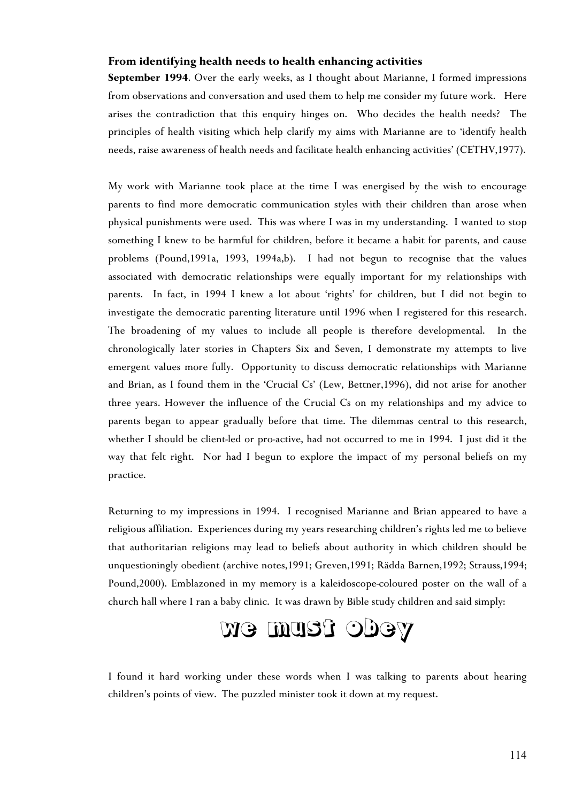# **From identifying health needs to health enhancing activities**

**September 1994**. Over the early weeks, as I thought about Marianne, I formed impressions from observations and conversation and used them to help me consider my future work. Here arises the contradiction that this enquiry hinges on. Who decides the health needs? The principles of health visiting which help clarify my aims with Marianne are to 'identify health needs, raise awareness of health needs and facilitate health enhancing activities' (CETHV,1977).

My work with Marianne took place at the time I was energised by the wish to encourage parents to find more democratic communication styles with their children than arose when physical punishments were used. This was where I was in my understanding. I wanted to stop something I knew to be harmful for children, before it became a habit for parents, and cause problems (Pound,1991a, 1993, 1994a,b). I had not begun to recognise that the values associated with democratic relationships were equally important for my relationships with parents. In fact, in 1994 I knew a lot about 'rights' for children, but I did not begin to investigate the democratic parenting literature until 1996 when I registered for this research. The broadening of my values to include all people is therefore developmental. In the chronologically later stories in Chapters Six and Seven, I demonstrate my attempts to live emergent values more fully. Opportunity to discuss democratic relationships with Marianne and Brian, as I found them in the 'Crucial Cs' (Lew, Bettner,1996), did not arise for another three years. However the influence of the Crucial Cs on my relationships and my advice to parents began to appear gradually before that time. The dilemmas central to this research, whether I should be client-led or pro-active, had not occurred to me in 1994. I just did it the way that felt right. Nor had I begun to explore the impact of my personal beliefs on my practice.

Returning to my impressions in 1994. I recognised Marianne and Brian appeared to have a religious affiliation. Experiences during my years researching children's rights led me to believe that authoritarian religions may lead to beliefs about authority in which children should be unquestioningly obedient (archive notes,1991; Greven,1991; Rädda Barnen,1992; Strauss,1994; Pound,2000). Emblazoned in my memory is a kaleidoscope-coloured poster on the wall of a church hall where I ran a baby clinic. It was drawn by Bible study children and said simply:

# we must obey

I found it hard working under these words when I was talking to parents about hearing children's points of view. The puzzled minister took it down at my request.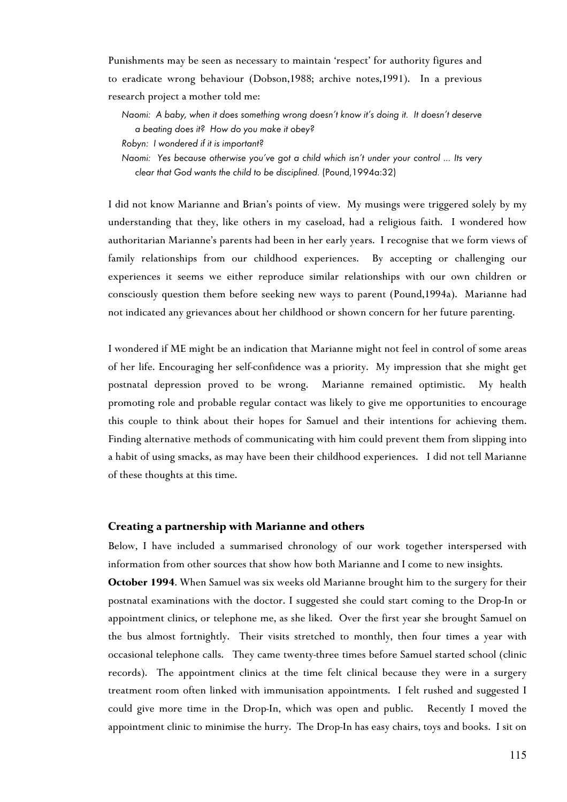Punishments may be seen as necessary to maintain 'respect' for authority figures and to eradicate wrong behaviour (Dobson,1988; archive notes,1991). In a previous research project a mother told me:

- *Naomi: A baby, when it does something wrong doesn't know it's doing it. It doesn't deserve a beating does it? How do you make it obey?*
- *Robyn: I wondered if it is important?*
- *Naomi: Yes because otherwise you've got a child which isn't under your control ... Its very clear that God wants the child to be disciplined.* (Pound,1994a:32)

I did not know Marianne and Brian's points of view. My musings were triggered solely by my understanding that they, like others in my caseload, had a religious faith. I wondered how authoritarian Marianne's parents had been in her early years. I recognise that we form views of family relationships from our childhood experiences. By accepting or challenging our experiences it seems we either reproduce similar relationships with our own children or consciously question them before seeking new ways to parent (Pound,1994a). Marianne had not indicated any grievances about her childhood or shown concern for her future parenting.

I wondered if ME might be an indication that Marianne might not feel in control of some areas of her life. Encouraging her self-confidence was a priority. My impression that she might get postnatal depression proved to be wrong. Marianne remained optimistic. My health promoting role and probable regular contact was likely to give me opportunities to encourage this couple to think about their hopes for Samuel and their intentions for achieving them. Finding alternative methods of communicating with him could prevent them from slipping into a habit of using smacks, as may have been their childhood experiences. I did not tell Marianne of these thoughts at this time.

## **Creating a partnership with Marianne and others**

Below, I have included a summarised chronology of our work together interspersed with information from other sources that show how both Marianne and I come to new insights.

**October 1994**. When Samuel was six weeks old Marianne brought him to the surgery for their postnatal examinations with the doctor. I suggested she could start coming to the Drop-In or appointment clinics, or telephone me, as she liked. Over the first year she brought Samuel on the bus almost fortnightly. Their visits stretched to monthly, then four times a year with occasional telephone calls. They came twenty-three times before Samuel started school (clinic records). The appointment clinics at the time felt clinical because they were in a surgery treatment room often linked with immunisation appointments. I felt rushed and suggested I could give more time in the Drop-In, which was open and public. Recently I moved the appointment clinic to minimise the hurry. The Drop-In has easy chairs, toys and books. I sit on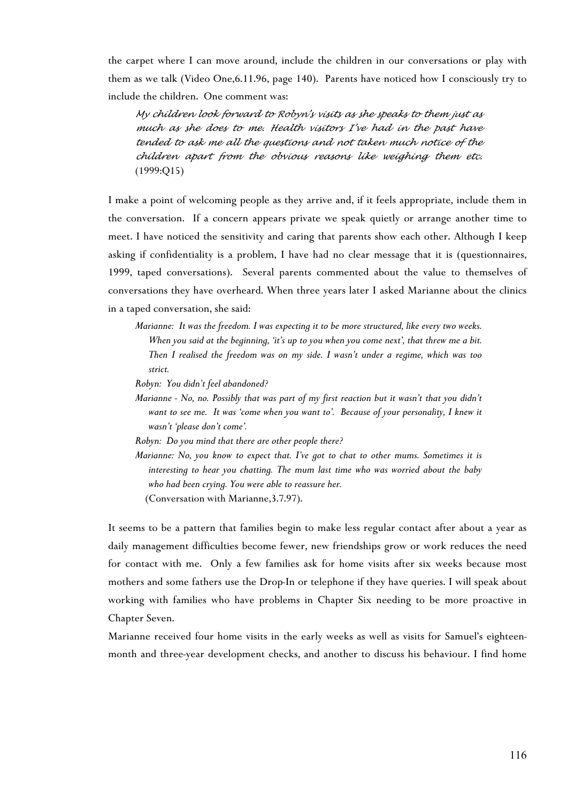the carpet where I can move around, include the children in our conversations or play with them as we talk (Video One,6.11.96, page 140). Parents have noticed how I consciously try to include the children. One comment was:

*My children look forward to Robyn's visits as she speaks to them just as much as she does to me. Health visitors I've had in the past have tended to ask me all the questions and not taken much notice of the children apart from the obvious reasons like weighing them etc.* (1999:Q15)

I make a point of welcoming people as they arrive and, if it feels appropriate, include them in the conversation. If a concern appears private we speak quietly or arrange another time to meet. I have noticed the sensitivity and caring that parents show each other. Although I keep asking if confidentiality is a problem, I have had no clear message that it is (questionnaires, 1999, taped conversations). Several parents commented about the value to themselves of conversations they have overheard. When three years later I asked Marianne about the clinics in a taped conversation, she said:

*Marianne: It was the freedom. I was expecting it to be more structured, like every two weeks. When you said at the beginning, 'it's up to you when you come next', that threw me a bit. Then I realised the freedom was on my side. I wasn't under a regime, which was too strict.*

*Robyn: You didn't feel abandoned?*

*Marianne - No, no. Possibly that was part of my first reaction but it wasn't that you didn't want to see me. It was 'come when you want to'. Because of your personality, I knew it wasn't 'please don't come'.*

*Robyn: Do you mind that there are other people there?*

*Marianne: No, you know to expect that. I've got to chat to other mums. Sometimes it is interesting to hear you chatting. The mum last time who was worried about the baby who had been crying. You were able to reassure her.*

(Conversation with Marianne,3.7.97).

It seems to be a pattern that families begin to make less regular contact after about a year as daily management difficulties become fewer, new friendships grow or work reduces the need for contact with me. Only a few families ask for home visits after six weeks because most mothers and some fathers use the Drop-In or telephone if they have queries. I will speak about working with families who have problems in [Cha](#page-8-0)pter Six needing to be more proactive in Chapter Seven.

<span id="page-8-0"></span>Marianne received four home visits in the early weeks as well as visits for Samuel's eighteenmonth and three-year development checks, and another to discuss his behaviour. I find home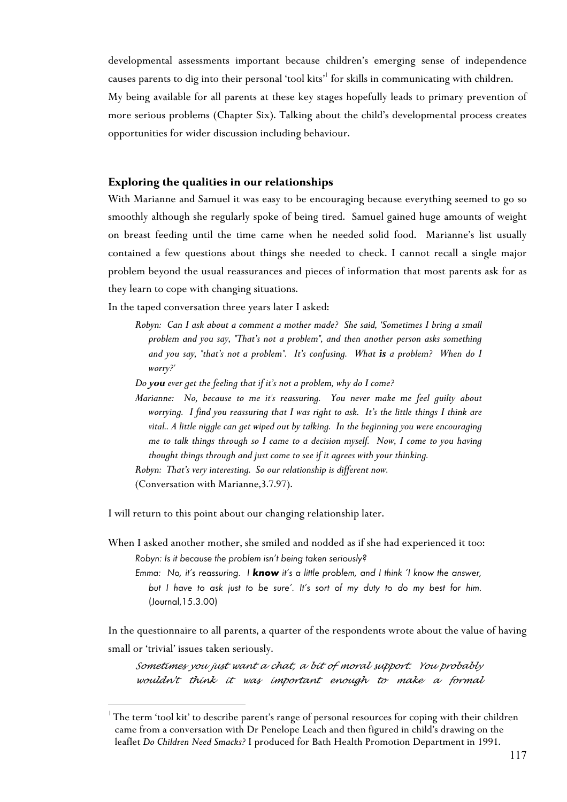developmental assessments important because children's emerging sense of independence causes parents to dig into their personal 'tool kits'<sup>1</sup> for skills in communicating with children. My being available for all parents at these key stages hopefully leads to primary prevention of more serious problems (Chapter Six). Talking about the child's developmental process creates opportunities for wider discussion including behaviour.

# **Exploring the qualities in our relationships**

With Marianne and Samuel it was easy to be encouraging because everything seemed to go so smoothly although she regularly spoke of being tired. Samuel gained huge amounts of weight on breast feeding until the time came when he needed solid food. Marianne's list usually contained a few questions about things she needed to check. I cannot recall a single major problem beyond the usual reassurances and pieces of information that most parents ask for as they learn to cope with changing situations.

In the taped conversation three years later I asked:

- *Robyn: Can I ask about a comment a mother made? She said, 'Sometimes I bring a small problem and you say, "That's not a problem", and then another person asks something and you say, "that's not a problem". It's confusing. What is a problem? When do I worry?'*
- *Do you ever get the feeling that if it's not a problem, why do I come?*
- *Marianne: No, because to me it's reassuring. You never make me feel guilty about worrying. I find you reassuring that I was right to ask. It's the little things I think are vital.. A little niggle can get wiped out by talking. In the beginning you were encouraging me to talk things through so I came to a decision myself. Now, I come to you having thought things through and just come to see if it agrees with your thinking.*

*Robyn: That's very interesting. So our relationship is different now.*

(Conversation with Marianne,3.7.97).

 $\overline{a}$ 

I will return to this point about our changing relationship later.

In the questionnaire to all parents, a quarter of the respondents wrote about the value of having small or 'trivial' issues taken seriously.

*Sometimes you just want a chat, a bit of moral support. You probably wouldn't think it was important enough to make a formal*

When I asked another mother, she smiled and nodded as if she had experienced it too: *Robyn: Is it because the problem isn't being taken seriously?*

*Emma: No, it's reassuring. I know it's a little problem, and I think 'I know the answer, but I have to ask just to be sure'. It's sort of my duty to do my best for him.* (Journal,15.3.00)

The term 'tool kit' to describe parent's range of personal resources for coping with their children came from a conversation with Dr Penelope Leach and then figured in child's drawing on the leaflet *Do Children Need Smacks?* I produced for Bath Health Promotion Department in 1991.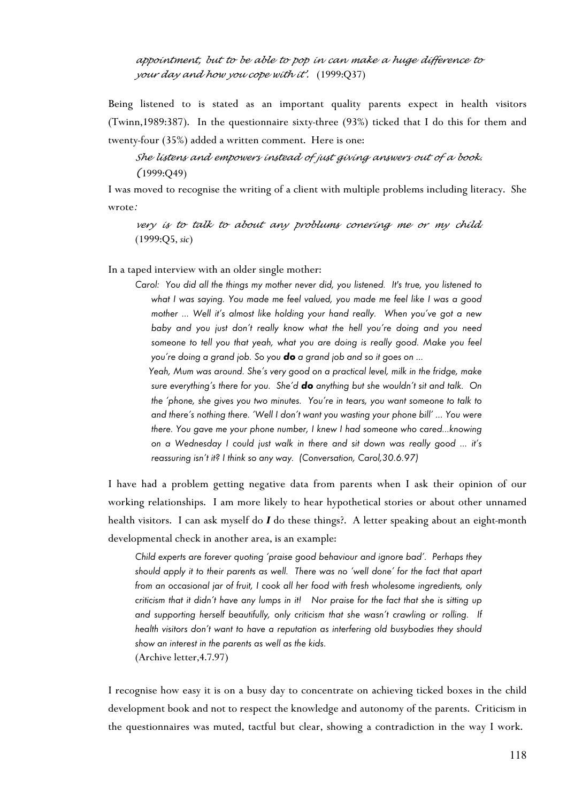*appointment, but to be able to pop in can make a huge difference to your day and how you cope with it'*. (1999:Q37)

Being listened to is stated as an important quality parents expect in health visitors (Twinn,1989:387). In the questionnaire sixty-three (93%) ticked that I do this for them and twenty-four (35%) added a written comment. Here is one:

# *She listens and empowers instead of just giving answers out of a book. (*1999:Q49)

I was moved to recognise the writing of a client with multiple problems including literacy. She wrote*:*

*very is to talk to about any problums conering me or my child.* (1999:Q5, *sic*)

In a taped interview with an older single mother:

*Carol: You did all the things my mother never did, you listened. It's true, you listened to what I was saying. You made me feel valued, you made me feel like I was a good mother ... Well it's almost like holding your hand really. When you've got a new baby and you just don't really know what the hell you're doing and you need someone to tell you that yeah, what you are doing is really good. Make you feel you're doing a grand job. So you do a grand job and so it goes on ...* 

*Yeah, Mum was around. She's very good on a practical level, milk in the fridge, make sure everything's there for you. She'd do anything but she wouldn't sit and talk. On the 'phone, she gives you two minutes. You're in tears, you want someone to talk to and there's nothing there. 'Well I don't want you wasting your phone bill' ... You were there. You gave me your phone number, I knew I had someone who cared...knowing on a Wednesday I could just walk in there and sit down was really good ... it's reassuring isn't it? I think so any way. (Conversation, Carol,30.6.97)*

I have had a problem getting negative data from parents when I ask their opinion of our working relationships. I am more likely to hear hypothetical stories or about other unnamed health visitors. I can ask myself do *I* do these things?. A letter speaking about an eight-month developmental check in another area, is an example:

*Child experts are forever quoting 'praise good behaviour and ignore bad'. Perhaps they should apply it to their parents as well. There was no 'well done' for the fact that apart from an occasional jar of fruit, I cook all her food with fresh wholesome ingredients, only criticism that it didn't have any lumps in it! Nor praise for the fact that she is sitting up and supporting herself beautifully, only criticism that she wasn't crawling or rolling. If health visitors don't want to have a reputation as interfering old busybodies they should show an interest in the parents as well as the kids*. (Archive letter,4.7.97)

I recognise how easy it is on a busy day to concentrate on achieving ticked boxes in the child development book and not to respect the knowledge and autonomy of the parents. Criticism in the questionnaires was muted, tactful but clear, showing a contradiction in the way I work.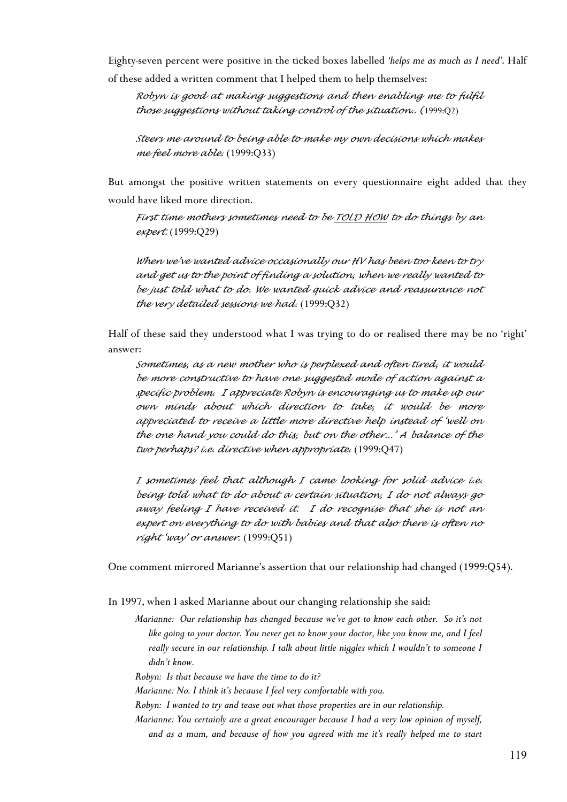Eighty-seven percent were positive in the ticked boxes labelled *'helps me as much as I need'*. Half of these added a written comment that I helped them to help themselves:

*Robyn is good at making suggestions and then enabling me to fulfil those suggestions without taking control of the situation.. (*1999:Q2)

*Steers me around to being able to make my own decisions which makes me feel more able.* (1999:Q33)

But amongst the positive written statements on every questionnaire eight added that they would have liked more direction.

*First time mothers sometimes need to be TOLD HOW to do things by an expert.* (1999:Q29)

*When we've wanted advice occasionally our HV has been too keen to try and get us to the point of finding a solution, when we really wanted to be just told what to do. We wanted quick advice and reassurance not the very detailed sessions we had.* (1999:Q32)

Half of these said they understood what I was trying to do or realised there may be no 'right' answer:

*Sometimes, as a new mother who is perplexed and often tired, it would be more constructive to have one suggested mode of action against a specific problem. I appreciate Robyn is encouraging us to make up our own minds about which direction to take, it would be more appreciated to receive a little more directive help instead of 'well on the one hand you could do this, but on the other...' A balance of the two perhaps? i.e. directive when appropriate.* (1999:Q47)

*I sometimes feel that although I came looking for solid advice i.e. being told what to do about a certain situation, I do not always go away feeling I have received it. I do recognise that she is not an expert on everything to do with babies and that also there is often no right 'way' or answer.* (1999:Q51)

One comment mirrored Marianne's assertion that our relationship had changed (1999:Q54).

In 1997, when I asked Marianne about our changing relationship she said:

*Marianne: Our relationship has changed because we've got to know each other. So it's not like going to your doctor. You never get to know your doctor, like you know me, and I feel really secure in our relationship. I talk about little niggles which I wouldn't to someone I didn't know.*

*Robyn: Is that because we have the time to do it?*

*Marianne: No. I think it's because I feel very comfortable with you.* 

*Robyn: I wanted to try and tease out what those properties are in our relationship.*

*Marianne: You certainly are a great encourager because I had a very low opinion of myself, and as a mum, and because of how you agreed with me it's really helped me to start*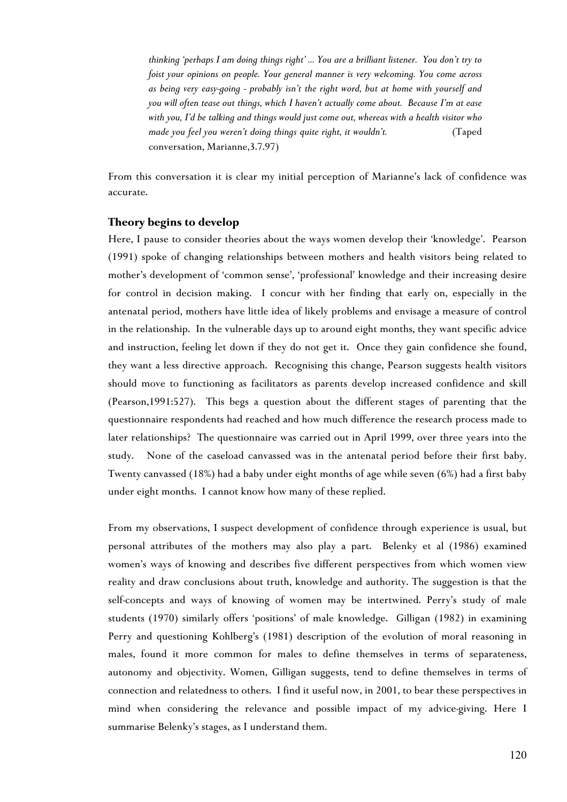*thinking 'perhaps I am doing things right' ... You are a brilliant listener. You don't try to foist your opinions on people. Your general manner is very welcoming. You come across as being very easy-going - probably isn't the right word, but at home with yourself and you will often tease out things, which I haven't actually come about. Because I'm at ease with you, I'd be talking and things would just come out, whereas with a health visitor who made you feel you weren't doing things quite right, it wouldn't.* (Taped conversation, Marianne,3.7.97)

From this conversation it is clear my initial perception of Marianne's lack of confidence was accurate.

# **Theory begins to develop**

Here, I pause to consider theories about the ways women develop their 'knowledge'. Pearson (1991) spoke of changing relationships between mothers and health visitors being related to mother's development of 'common sense', 'professional' knowledge and their increasing desire for control in decision making. I concur with her finding that early on, especially in the antenatal period, mothers have little idea of likely problems and envisage a measure of control in the relationship. In the vulnerable days up to around eight months, they want specific advice and instruction, feeling let down if they do not get it. Once they gain confidence she found, they want a less directive approach. Recognising this change, Pearson suggests health visitors should move to functioning as facilitators as parents develop increased confidence and skill (Pearson,1991:527). This begs a question about the different stages of parenting that the questionnaire respondents had reached and how much difference the research process made to later relationships? The questionnaire was carried out in April 1999, over three years into the study. None of the caseload canvassed was in the antenatal period before their first baby. Twenty canvassed (18%) had a baby under eight months of age while seven (6%) had a first baby under eight months. I cannot know how many of these replied.

From my observations, I suspect development of confidence through experience is usual, but personal attributes of the mothers may also play a part. Belenky et al (1986) examined women's ways of knowing and describes five different perspectives from which women view reality and draw conclusions about truth, knowledge and authority. The suggestion is that the self-concepts and ways of knowing of women may be intertwined. Perry's study of male students (1970) similarly offers 'positions' of male knowledge. Gilligan (1982) in examining Perry and questioning Kohlberg's (1981) description of the evolution of moral reasoning in males, found it more common for males to define themselves in terms of separateness, autonomy and objectivity. Women, Gilligan suggests, tend to define themselves in terms of connection and relatedness to others. I find it useful now, in 2001, to bear these perspectives in mind when considering the relevance and possible impact of my advice-giving. Here I summarise Belenky's stages, as I understand them.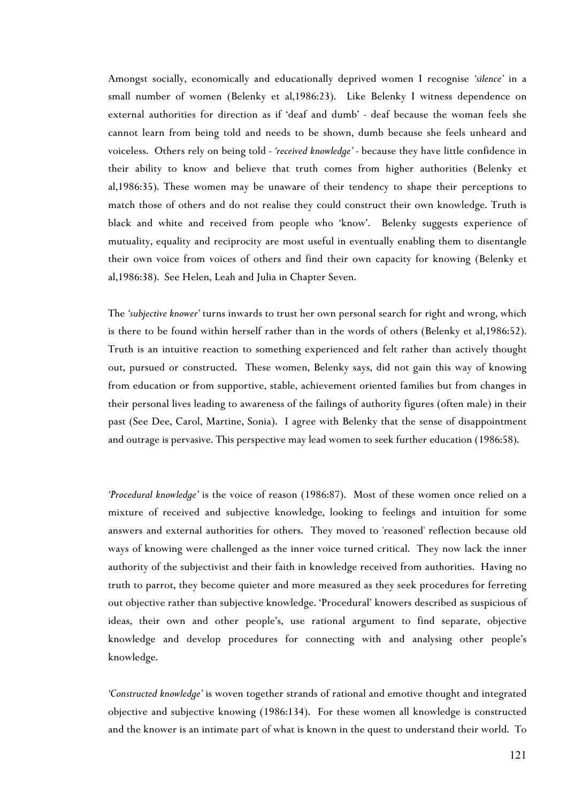Amongst socially, economically and educationally deprived women I recognise *'silence'* in a small number of women (Belenky et al,1986:23). Like Belenky I witness dependence on external authorities for direction as if 'deaf and dumb' - deaf because the woman feels she cannot learn from being told and needs to be shown, dumb because she feels unheard and voiceless. Others rely on being told - *'received knowledge'* - because they have little confidence in their ability to know and believe that truth comes from higher authorities (Belenky et al,1986:35). These women may be unaware of their tendency to shape their perceptions to match those of others and do not realise they could construct their own knowledge. Truth is black and white and received from people who 'know'. Belenky suggests experience of mutuality, equality and reciprocity are most useful in eventually enabling them to disentangle their own voice from voices of others and find their own capacity for knowing (Belenky et al,1986:38). See Helen, Leah and Julia in Chapter Seven.

The *'subjective knower'* turns inwards to trust her own personal search for right and wrong, which is there to be found within herself rather than in the words of others (Belenky et al,1986:52). Truth is an intuitive reaction to something experienced and felt rather than actively thought out, pursued or constructed. These women, Belenky says, did not gain this way of knowing from education or from supportive, stable, achievement oriented families but from changes in their personal lives leading to awareness of the failings of authority figures (often male) in their past (See Dee, Carol, Martine, Sonia). I agree with Belenky that the sense of disappointment and outrage is pervasive. This perspective may lead women to seek further education (1986:58).

*'Procedural knowledge'* is the voice of reason (1986:87). Most of these women once relied on a mixture of received and subjective knowledge, looking to feelings and intuition for some answers and external authorities for others. They moved to 'reasoned' reflection because old ways of knowing were challenged as the inner voice turned critical. They now lack the inner authority of the subjectivist and their faith in knowledge received from authorities. Having no truth to parrot, they become quieter and more measured as they seek procedures for ferreting out objective rather than subjective knowledge. 'Procedural' knowers described as suspicious of ideas, their own and other people's, use rational argument to find separate, objective knowledge and develop procedures for connecting with and analysing other people's knowledge.

*'Constructed knowledge'* is woven together strands of rational and emotive thought and integrated objective and subjective knowing (1986:134). For these women all knowledge is constructed and the knower is an intimate part of what is known in the quest to understand their world. To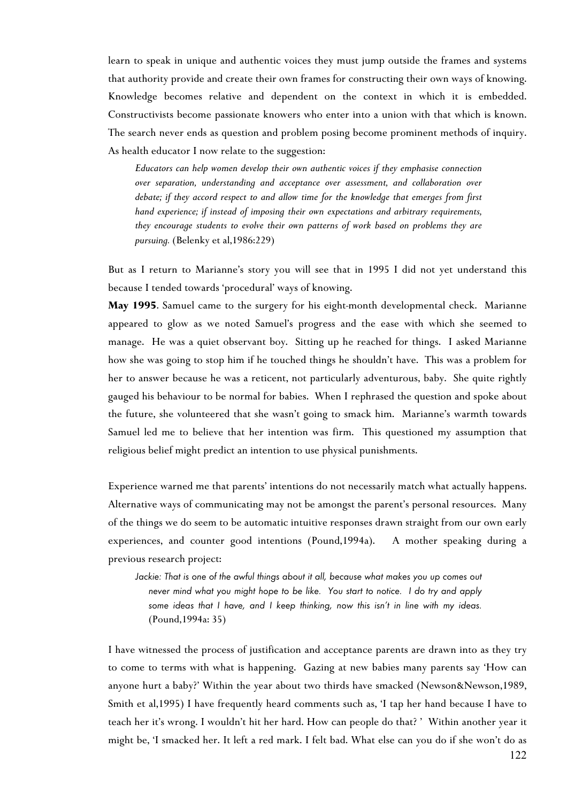learn to speak in unique and authentic voices they must jump outside the frames and systems that authority provide and create their own frames for constructing their own ways of knowing. Knowledge becomes relative and dependent on the context in which it is embedded. Constructivists become passionate knowers who enter into a union with that which is known. The search never ends as question and problem posing become prominent methods of inquiry. As health educator I now relate to the suggestion:

*Educators can help women develop their own authentic voices if they emphasise connection over separation, understanding and acceptance over assessment, and collaboration over debate; if they accord respect to and allow time for the knowledge that emerges from first hand experience; if instead of imposing their own expectations and arbitrary requirements, they encourage students to evolve their own patterns of work based on problems they are pursuing.* (Belenky et al,1986:229)

But as I return to Marianne's story you will see that in 1995 I did not yet understand this because I tended towards 'procedural' ways of knowing.

**May 1995**. Samuel came to the surgery for his eight-month developmental check. Marianne appeared to glow as we noted Samuel's progress and the ease with which she seemed to manage. He was a quiet observant boy. Sitting up he reached for things. I asked Marianne how she was going to stop him if he touched things he shouldn't have. This was a problem for her to answer because he was a reticent, not particularly adventurous, baby. She quite rightly gauged his behaviour to be normal for babies. When I rephrased the question and spoke about the future, she volunteered that she wasn't going to smack him. Marianne's warmth towards Samuel led me to believe that her intention was firm. This questioned my assumption that religious belief might predict an intention to use physical punishments.

Experience warned me that parents' intentions do not necessarily match what actually happens. Alternative ways of communicating may not be amongst the parent's personal resources. Many of the things we do seem to be automatic intuitive responses drawn straight from our own early experiences, and counter good intentions (Pound,1994a). A mother speaking during a previous research project:

*Jackie: That is one of the awful things about it all, because what makes you up comes out never mind what you might hope to be like. You start to notice. I do try and apply some ideas that I have, and I keep thinking, now this isn't in line with my ideas.* (Pound,1994a: 35)

I have witnessed the process of justification and acceptance parents are drawn into as they try to come to terms with what is happening. Gazing at new babies many parents say 'How can anyone hurt a baby?' Within the year about two thirds have smacked (Newson&Newson,1989, Smith et al,1995) I have frequently heard comments such as, 'I tap her hand because I have to teach her it's wrong. I wouldn't hit her hard. How can people do that? ' Within another year it might be, 'I smacked her. It left a red mark. I felt bad. What else can you do if she won't do as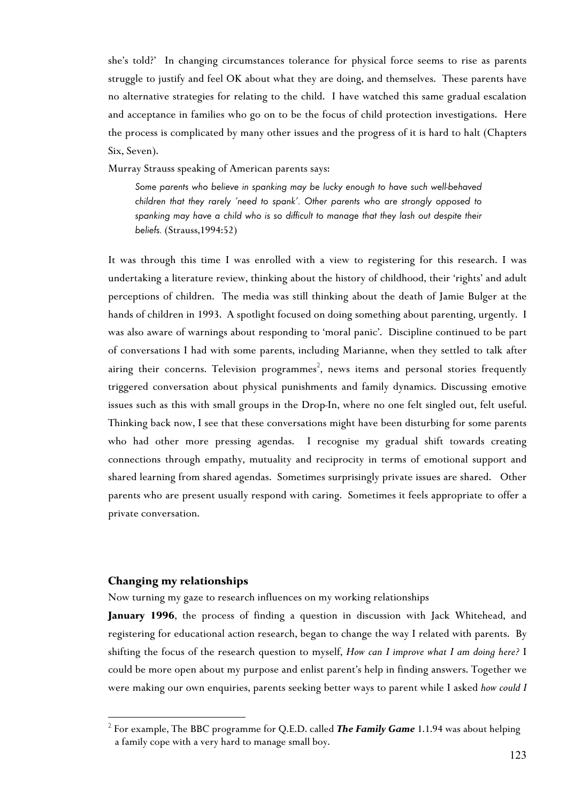she's told?'In changing circumstances tolerance for physical force seems to rise as parents struggle to justify and feel OK about what they are doing, and themselves. These parents have no alternative strategies for relating to the child. I have watched this same gradual escalation and acceptance in families who go on to be the focus of child protection investigations. Here the process is complicated by many other issues and the progress of it is hard to halt (Chapters Six, Seven).

Murray Strauss speaking of American parents says:

*Some parents who believe in spanking may be lucky enough to have such well-behaved children that they rarely 'need to spank'. Other parents who are strongly opposed to spanking may have a child who is so difficult [to](#page-15-0) manage that they lash out despite their beliefs.* (Strauss,1994:52)

It was through this time I was enrolled with a view to registering for this research. I was undertaking a literature review, thinking about the history of childhood, their 'rights' and adult perceptions of children. The media was still thinking about the death of Jamie Bulger at the hands of children in 1993. A spotlight focused on doing something about parenting, urgently. I was also aware of warnings about responding to 'moral panic'. Discipline continued to be part of conversations I had with some parents, including Marianne, when they settled to talk after airing their concerns. Television programmes $^2$ , news items and personal stories frequently triggered conversation about physical punishments and family dynamics. Discussing emotive issues such as this with small groups in the Drop-In, where no one felt singled out, felt useful. Thinking back now, I see that these conversations might have been disturbing for some parents who had other more pressing agendas. I recognise my gradual shift towards creating connections through empathy, mutuality and reciprocity in terms of emotional support and shared learning from shared agendas. Sometimes surprisingly private issues are shared. Other parents who are present usually respond with caring. Sometimes it feels appropriate to offer a private conversation.

# **Changing my relationships**

 $\overline{a}$ 

Now turning my gaze to research influences on my working relationships

**January 1996**, the process of finding a question in discussion with Jack Whitehead, and registering for educational action research, began to change the way I related with parents. By shifting the focus of the research question to myself, *How can I improve what I am doing here?* I could be more open about my purpose and enlist parent's help in finding answers. Together we were making our own enquiries, parents seeking better ways to parent while I asked *how could I*

<span id="page-15-0"></span><sup>2</sup> For example, The BBC programme for Q.E.D. called *The Family Game* 1.1.94 was about helping a family cope with a very hard to manage small boy.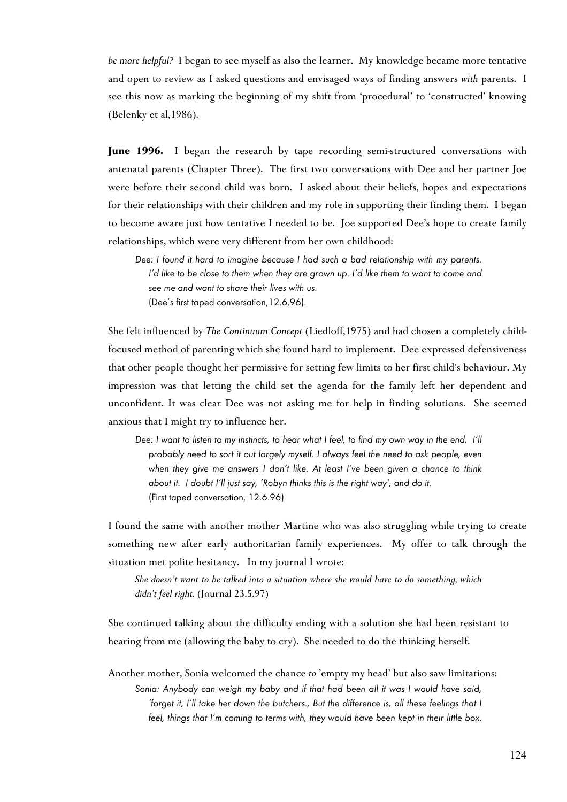*be more helpful?* I began to see myself as also the learner. My knowledge became more tentative and open to review as I asked questions and envisaged ways of finding answers *with* parents. I see this now as marking the beginning of my shift from 'procedural' to 'constructed' knowing (Belenky et al,1986).

June 1996. I began the research by tape recording semi-structured conversations with antenatal parents (Chapter Three). The first two conversations with Dee and her partner Joe were before their second child was born. I asked about their beliefs, hopes and expectations for their relationships with their children and my role in supporting their finding them. I began to become aware just how tentative I needed to be. Joe supported Dee's hope to create family relationships, which were very different from her own childhood:

*Dee: I found it hard to imagine because I had such a bad relationship with my parents. I'd like to be close to them when they are grown up. I'd like them to want to come and see me and want to share their lives with us.* (Dee's first taped conversation,12.6.96).

She felt influenced by *The Continuum Concept* (Liedloff,1975) and had chosen a completely childfocused method of parenting which she found hard to implement. Dee expressed defensiveness that other people thought her permissive for setting few limits to her first child's behaviour. My impression was that letting the child set the agenda for the family left her dependent and unconfident. It was clear Dee was not asking me for help in finding solutions. She seemed anxious that I might try to influence her.

*Dee: I want to listen to my instincts, to hear what I feel, to find my own way in the end. I'll probably need to sort it out largely myself. I always feel the need to ask people, even when they give me answers I don't like. At least I've been given a chance to think about it. I doubt I'll just say, 'Robyn thinks this is the right way', and do it.*  (First taped conversation, 12.6.96)

I found the same with another mother Martine who was also struggling while trying to create something new after early authoritarian family experiences. My offer to talk through the situation met polite hesitancy. In my journal I wrote:

*She doesn't want to be talked into a situation where she would have to do something, which didn't feel right.* (Journal 23.5.97)

She continued talking about the difficulty ending with a solution she had been resistant to hearing from me (allowing the baby to cry). She needed to do the thinking herself.

Another mother, Sonia welcomed the chance *to* 'empty my head' but also saw limitations: *Sonia: Anybody can weigh my baby and if that had been all it was I would have said, 'forget it, I'll take her down the butchers., But the difference is, all these feelings that I feel, things that I'm coming to terms with, they would have been kept in their little box.*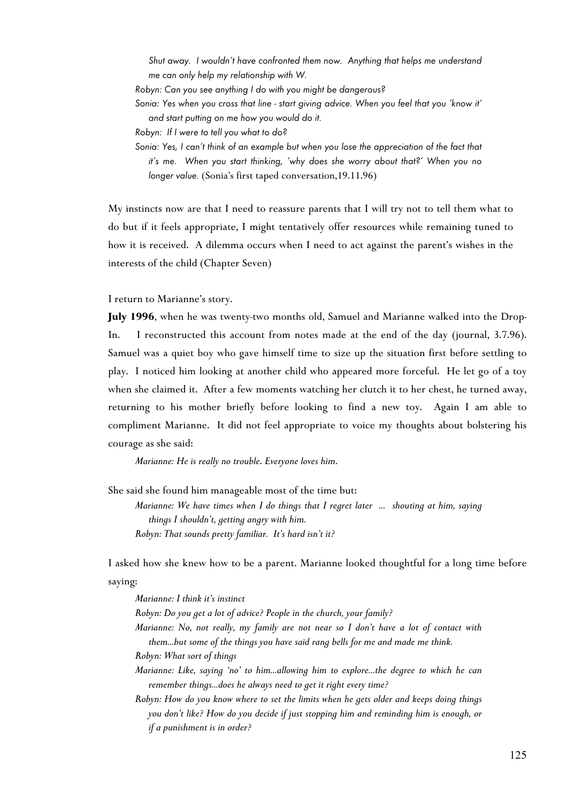*Shut away. I wouldn't have confronted them now. Anything that helps me understand me can only help my relationship with W.*

- *Robyn: Can you see anything I do with you might be dangerous?*
- *Sonia: Yes when you cross that line start giving advice. When you feel that you 'know it' and start putting on me how you would do it.*
- *Robyn: If I were to tell you what to do?*
- *Sonia: Yes, I can't think of an example but when you lose the appreciation of the fact that it's me. When you start thinking, 'why does she worry about that?' When you no longer value.* (Sonia's first taped conversation,19.11.96)

My instincts now are that I need to reassure parents that I will try not to tell them what to do but if it feels appropriate, I might tentatively offer resources while remaining tuned to how it is received. A dilemma occurs when I need to act against the parent's wishes in the interests of the child (Chapter Seven)

I return to Marianne's story.

**July 1996**, when he was twenty-two months old, Samuel and Marianne walked into the Drop-In. I reconstructed this account from notes made at the end of the day (journal, 3.7.96). Samuel was a quiet boy who gave himself time to size up the situation first before settling to play. I noticed him looking at another child who appeared more forceful. He let go of a toy when she claimed it. After a few moments watching her clutch it to her chest, he turned away, returning to his mother briefly before looking to find a new toy. Again I am able to compliment Marianne. It did not feel appropriate to voice my thoughts about bolstering his courage as she said:

*Marianne: He is really no trouble*. *Everyone loves him*.

She said she found him manageable most of the time but:

*Marianne: We have times when I do things that I regret later ... shouting at him, saying things I shouldn't, getting angry with him. Robyn: That sounds pretty familiar. It's hard isn't it?*

I asked how she knew how to be a parent. Marianne looked thoughtful for a long time before saying:

*Marianne: I think it's instinct*

*Robyn: Do you get a lot of advice? People in the church, your family?*

*Marianne: No, not really, my family are not near so I don't have a lot of contact with them...but some of the things you have said rang bells for me and made me think.* 

*Robyn: What sort of things*

- *Marianne: Like, saying 'no' to him...allowing him to explore...the degree to which he can remember things...does he always need to get it right every time?*
- *Robyn: How do you know where to set the limits when he gets older and keeps doing things you don't like? How do you decide if just stopping him and reminding him is enough, or if a punishment is in order?*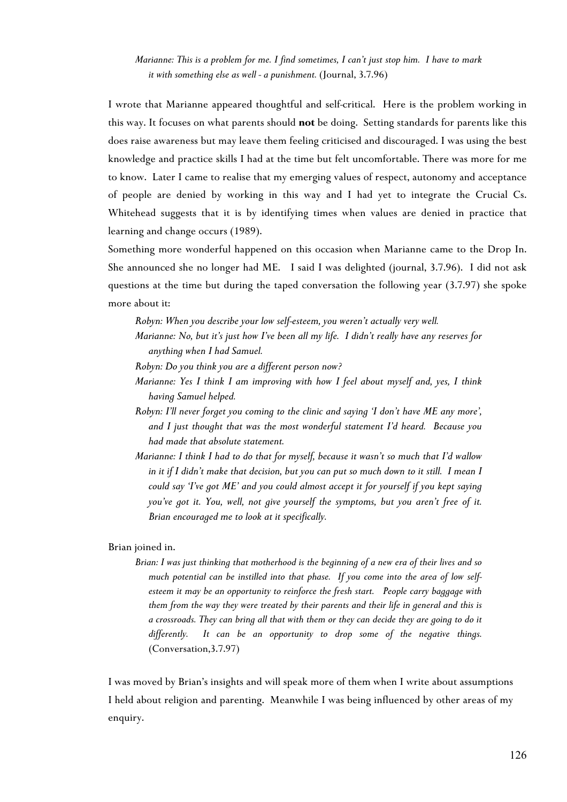# *Marianne: This is a problem for me. I find sometimes, I can't just stop him. I have to mark it with something else as well - a punishment.* (Journal, 3.7.96)

I wrote that Marianne appeared thoughtful and self-critical. Here is the problem working in this way. It focuses on what parents should **not** be doing. Setting standards for parents like this does raise awareness but may leave them feeling criticised and discouraged. I was using the best knowledge and practice skills I had at the time but felt uncomfortable. There was more for me to know. Later I came to realise that my emerging values of respect, autonomy and acceptance of people are denied by working in this way and I had yet to integrate the Crucial Cs. Whitehead suggests that it is by identifying times when values are denied in practice that learning and change occurs (1989).

Something more wonderful happened on this occasion when Marianne came to the Drop In. She announced she no longer had ME. I said I was delighted (journal, 3.7.96). I did not ask questions at the time but during the taped conversation the following year (3.7.97) she spoke more about it:

*Robyn: When you describe your low self-esteem, you weren't actually very well.*

- *Marianne: No, but it's just how I've been all my life. I didn't really have any reserves for anything when I had Samuel.*
- *Robyn: Do you think you are a different person now?*
- *Marianne: Yes I think I am improving with how I feel about myself and, yes, I think having Samuel helped.*
- *Robyn: I'll never forget you coming to the clinic and saying 'I don't have ME any more', and I just thought that was the most wonderful statement I'd heard. Because you had made that absolute statement.*
- *Marianne: I think I had to do that for myself, because it wasn't so much that I'd wallow in it if I didn't make that decision, but you can put so much down to it still. I mean I could say 'I've got ME' and you could almost accept it for yourself if you kept saying you've got it. You, well, not give yourself the symptoms, but you aren't free of it. Brian encouraged me to look at it specifically.*

#### Brian joined in.

*Brian: I was just thinking that motherhood is the beginning of a new era of their lives and so much potential can be instilled into that phase. If you come into the area of low selfesteem it may be an opportunity to reinforce the fresh start. People carry baggage with them from the way they were treated by their parents and their life in general and this is a crossroads. They can bring all that with them or they can decide they are going to do it differently. It can be an opportunity to drop some of the negative things.* (Conversation,3.7.97)

I was moved by Brian's insights and will speak more of them when I write about assumptions I held about religion and parenting. Meanwhile I was being influenced by other areas of my enquiry.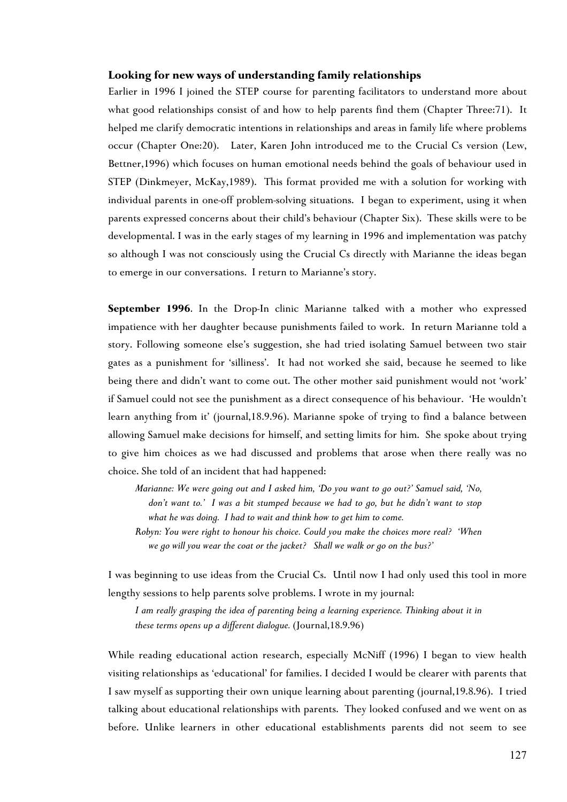## **Looking for new ways of understanding family relationships**

Earlier in 1996 I joined the STEP course for parenting facilitators to understand more about what good relationships consist of and how to help parents find them (Chapter Three:71). It helped me clarify democratic intentions in relationships and areas in family life where problems occur (Chapter One:20). Later, Karen John introduced me to the Crucial Cs version (Lew, Bettner,1996) which focuses on human emotional needs behind the goals of behaviour used in STEP (Dinkmeyer, McKay,1989). This format provided me with a solution for working with individual parents in one-off problem-solving situations. I began to experiment, using it when parents expressed concerns about their child's behaviour (Chapter Six). These skills were to be developmental. I was in the early stages of my learning in 1996 and implementation was patchy so although I was not consciously using the Crucial Cs directly with Marianne the ideas began to emerge in our conversations. I return to Marianne's story.

**September 1996**. In the Drop-In clinic Marianne talked with a mother who expressed impatience with her daughter because punishments failed to work. In return Marianne told a story. Following someone else's suggestion, she had tried isolating Samuel between two stair gates as a punishment for 'silliness'. It had not worked she said, because he seemed to like being there and didn't want to come out. The other mother said punishment would not 'work' if Samuel could not see the punishment as a direct consequence of his behaviour. 'He wouldn't learn anything from it' (journal,18.9.96). Marianne spoke of trying to find a balance between allowing Samuel make decisions for himself, and setting limits for him. She spoke about trying to give him choices as we had discussed and problems that arose when there really was no choice. She told of an incident that had happened:

*Marianne: We were going out and I asked him, 'Do you want to go out?' Samuel said, 'No, don't want to.' I was a bit stumped because we had to go, but he didn't want to stop what he was doing. I had to wait and think how to get him to come.*

*Robyn: You were right to honour his choice. Could you make the choices more real? 'When we go will you wear the coat or the jacket? Shall we walk or go on the bus?'*

I was beginning to use ideas from the Crucial Cs. Until now I had only used this tool in more lengthy sessions to help parents solve problems. I wrote in my journal:

*I am really grasping the idea of parenting being a learning experience. Thinking about it in these terms opens up a different dialogue.* (Journal,18.9.96)

While reading educational action research, especially McNiff (1996) I began to view health visiting relationships as 'educational' for families. I decided I would be clearer with parents that I saw myself as supporting their own unique learning about parenting (journal,19.8.96). I tried talking about educational relationships with parents. They looked confused and we went on as before. Unlike learners in other educational establishments parents did not seem to see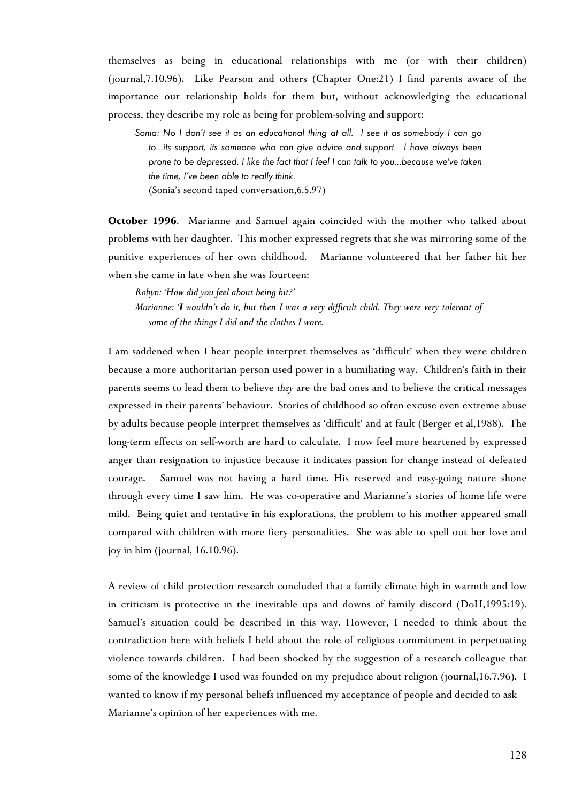themselves as being in educational relationships with me (or with their children) (journal,7.10.96). Like Pearson and others (Chapter One:21) I find parents aware of the importance our relationship holds for them but, without acknowledging the educational process, they describe my role as being for problem-solving and support:

*Sonia: No I don't see it as an educational thing at all. I see it as somebody I can go to...its support, its someone who can give advice and support. I have always been prone to be depressed. I like the fact that I feel I can talk to you...because we've taken the time, I've been able to really think.*  (Sonia's second taped conversation,6.5.97)

**October 1996**. Marianne and Samuel again coincided with the mother who talked about problems with her daughter. This mother expressed regrets that she was mirroring some of the punitive experiences of her own childhood. Marianne volunteered that her father hit her when she came in late when she was fourteen:

*Robyn: 'How did you feel about being hit?' Marianne: 'I wouldn't do it, but then I was a very difficult child. They were very tolerant of some of the things I did and the clothes I wore.*

I am saddened when I hear people interpret themselves as 'difficult' when they were children because a more authoritarian person used power in a humiliating way. Children's faith in their parents seems to lead them to believe *they* are the bad ones and to believe the critical messages expressed in their parents' behaviour. Stories of childhood so often excuse even extreme abuse by adults because people interpret themselves as 'difficult' and at fault (Berger et al,1988). The long-term effects on self-worth are hard to calculate. I now feel more heartened by expressed anger than resignation to injustice because it indicates passion for change instead of defeated courage. Samuel was not having a hard time. His reserved and easy-going nature shone through every time I saw him. He was co-operative and Marianne's stories of home life were mild. Being quiet and tentative in his explorations, the problem to his mother appeared small compared with children with more fiery personalities. She was able to spell out her love and joy in him (journal, 16.10.96).

A review of child protection research concluded that a family climate high in warmth and low in criticism is protective in the inevitable ups and downs of family discord (DoH,1995:19). Samuel's situation could be described in this way. However, I needed to think about the contradiction here with beliefs I held about the role of religious commitment in perpetuating violence towards children. I had been shocked by the suggestion of a research colleague that some of the knowledge I used was founded on my prejudice about religion (journal,16.7.96). I wanted to know if my personal beliefs influenced my acceptance of people and decided to ask Marianne's opinion of her experiences with me.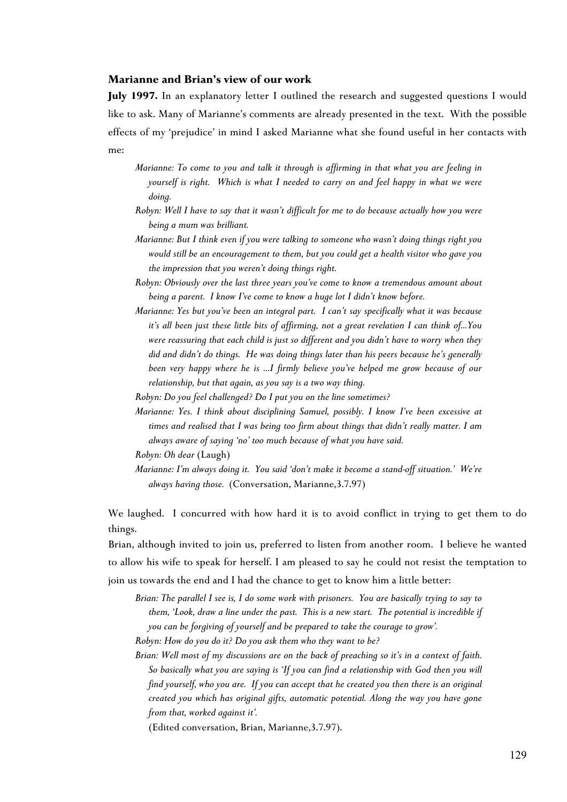## **Marianne and Brian's view of our work**

July 1997. In an explanatory letter I outlined the research and suggested questions I would like to ask. Many of Marianne's comments are already presented in the text. With the possible effects of my 'prejudice' in mind I asked Marianne what she found useful in her contacts with me:

- *Marianne: To come to you and talk it through is affirming in that what you are feeling in yourself is right. Which is what I needed to carry on and feel happy in what we were doing.*
- *Robyn: Well I have to say that it wasn't difficult for me to do because actually how you were being a mum was brilliant.*
- *Marianne: But I think even if you were talking to someone who wasn't doing things right you would still be an encouragement to them, but you could get a health visitor who gave you the impression that you weren't doing things right.*
- *Robyn: Obviously over the last three years you've come to know a tremendous amount about being a parent. I know I've come to know a huge lot I didn't know before.*
- *Marianne: Yes but you've been an integral part. I can't say specifically what it was because it's all been just these little bits of affirming, not a great revelation I can think of...You were reassuring that each child is just so different and you didn't have to worry when they did and didn't do things. He was doing things later than his peers because he's generally been very happy where he is …I firmly believe you've helped me grow because of our relationship, but that again, as you say is a two way thing.*
- *Robyn: Do you feel challenged? Do I put you on the line sometimes?*
- *Marianne: Yes. I think about disciplining Samuel, possibly. I know I've been excessive at times and realised that I was being too firm about things that didn't really matter. I am always aware of saying 'no' too much because of what you have said.*

*Marianne: I'm always doing it. You said 'don't make it become a stand-off situation.' We're always having those.* (Conversation, Marianne,3.7.97)

We laughed. I concurred with how hard it is to avoid conflict in trying to get them to do things.

Brian, although invited to join us, preferred to listen from another room. I believe he wanted to allow his wife to speak for herself. I am pleased to say he could not resist the temptation to join us towards the end and I had the chance to get to know him a little better:

- *Brian: The parallel I see is, I do some work with prisoners. You are basically trying to say to them, 'Look, draw a line under the past. This is a new start. The potential is incredible if you can be forgiving of yourself and be prepared to take the courage to grow'.*
- *Robyn: How do you do it? Do you ask them who they want to be?*

*Brian: Well most of my discussions are on the back of preaching so it's in a context of faith. So basically what you are saying is 'If you can find a relationship with God then you will find yourself, who you are. If you can accept that he created you then there is an original created you which has original gifts, automatic potential. Along the way you have gone from that, worked against it'.*

(Edited conversation, Brian, Marianne,3.7.97).

*Robyn: Oh dear* (Laugh)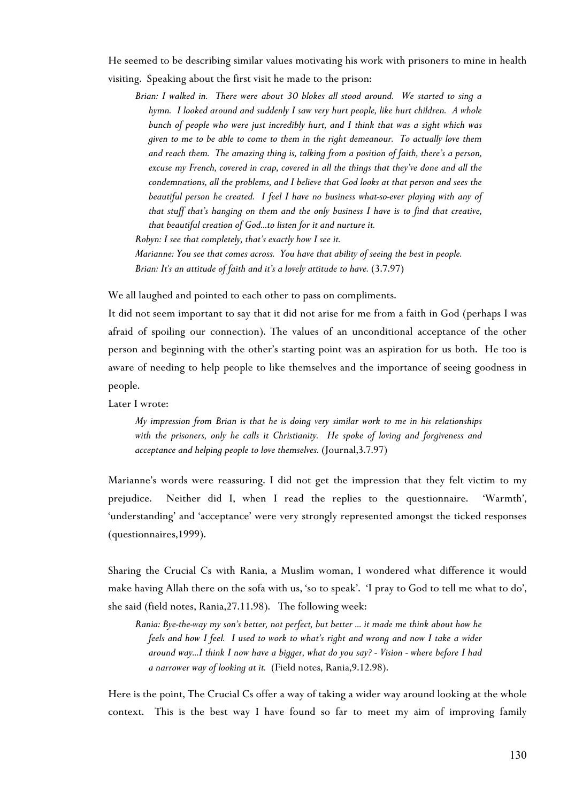He seemed to be describing similar values motivating his work with prisoners to mine in health visiting. Speaking about the first visit he made to the prison:

*Brian: I walked in. There were about 30 blokes all stood around. We started to sing a hymn. I looked around and suddenly I saw very hurt people, like hurt children. A whole bunch of people who were just incredibly hurt, and I think that was a sight which was given to me to be able to come to them in the right demeanour. To actually love them and reach them. The amazing thing is, talking from a position of faith, there's a person, excuse my French, covered in crap, covered in all the things that they've done and all the condemnations, all the problems, and I believe that God looks at that person and sees the beautiful person he created. I feel I have no business what-so-ever playing with any of that stuff that's hanging on them and the only business I have is to find that creative, that beautiful creation of God...to listen for it and nurture it. Robyn: I see that completely, that's exactly how I see it.*

*Marianne: You see that comes across. You have that ability of seeing the best in people. Brian: It's an attitude of faith and it's a lovely attitude to have.* (3.7.97)

We all laughed and pointed to each other to pass on compliments.

It did not seem important to say that it did not arise for me from a faith in God (perhaps I was afraid of spoiling our connection). The values of an unconditional acceptance of the other person and beginning with the other's starting point was an aspiration for us both. He too is aware of needing to help people to like themselves and the importance of seeing goodness in people.

Later I wrote:

*My impression from Brian is that he is doing very similar work to me in his relationships with the prisoners, only he calls it Christianity. He spoke of loving and forgiveness and acceptance and helping people to love themselves.* (Journal,3.7.97)

Marianne's words were reassuring. I did not get the impression that they felt victim to my prejudice. Neither did I, when I read the replies to the questionnaire. 'Warmth', 'understanding' and 'acceptance' were very strongly represented amongst the ticked responses (questionnaires,1999).

Sharing the Crucial Cs with Rania, a Muslim woman, I wondered what difference it would make having Allah there on the sofa with us, 'so to speak'. 'I pray to God to tell me what to do', she said (field notes, Rania,27.11.98). The following week:

*Rania: Bye-the-way my son's better, not perfect, but better ... it made me think about how he feels and how I feel. I used to work to what's right and wrong and now I take a wider around way...I think I now have a bigger, what do you say? - Vision - where before I had a narrower way of looking at it.* (Field notes, Rania,9.12.98).

Here is the point, The Crucial Cs offer a way of taking a wider way around looking at the whole context. This is the best way I have found so far to meet my aim of improving family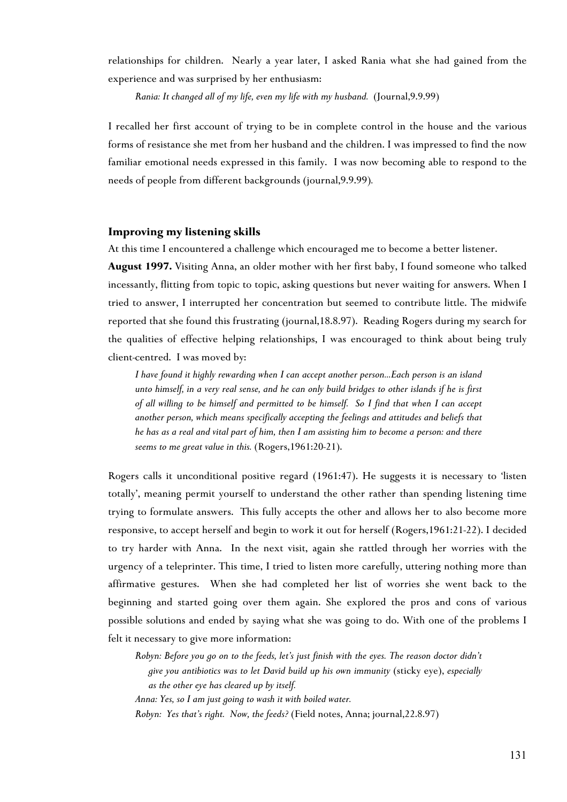relationships for children. Nearly a year later, I asked Rania what she had gained from the experience and was surprised by her enthusiasm:

*Rania: It changed all of my life, even my life with my husband.* (Journal,9.9.99)

I recalled her first account of trying to be in complete control in the house and the various forms of resistance she met from her husband and the children. I was impressed to find the now familiar emotional needs expressed in this family. I was now becoming able to respond to the needs of people from different backgrounds (journal,9.9.99)*.*

## **Improving my listening skills**

At this time I encountered a challenge which encouraged me to become a better listener.

**August 1997.** Visiting Anna, an older mother with her first baby, I found someone who talked incessantly, flitting from topic to topic, asking questions but never waiting for answers. When I tried to answer, I interrupted her concentration but seemed to contribute little. The midwife reported that she found this frustrating (journal,18.8.97). Reading Rogers during my search for the qualities of effective helping relationships, I was encouraged to think about being truly client-centred. I was moved by:

*I have found it highly rewarding when I can accept another person...Each person is an island unto himself, in a very real sense, and he can only build bridges to other islands if he is first of all willing to be himself and permitted to be himself. So I find that when I can accept another person, which means specifically accepting the feelings and attitudes and beliefs that he has as a real and vital part of him, then I am assisting him to become a person: and there seems to me great value in this.* (Rogers,1961:20-21).

Rogers calls it unconditional positive regard (1961:47). He suggests it is necessary to 'listen totally', meaning permit yourself to understand the other rather than spending listening time trying to formulate answers. This fully accepts the other and allows her to also become more responsive, to accept herself and begin to work it out for herself (Rogers,1961:21-22). I decided to try harder with Anna. In the next visit, again she rattled through her worries with the urgency of a teleprinter. This time, I tried to listen more carefully, uttering nothing more than affirmative gestures. When she had completed her list of worries she went back to the beginning and started going over them again. She explored the pros and cons of various possible solutions and ended by saying what she was going to do. With one of the problems I felt it necessary to give more information:

*Robyn: Before you go on to the feeds, let's just finish with the eyes. The reason doctor didn't give you antibiotics was to let David build up his own immunity* (sticky eye), *especially as the other eye has cleared up by itself.* 

*Anna: Yes, so I am just going to wash it with boiled water.*

*Robyn: Yes that's right. Now, the feeds?* (Field notes, Anna; journal,22.8.97)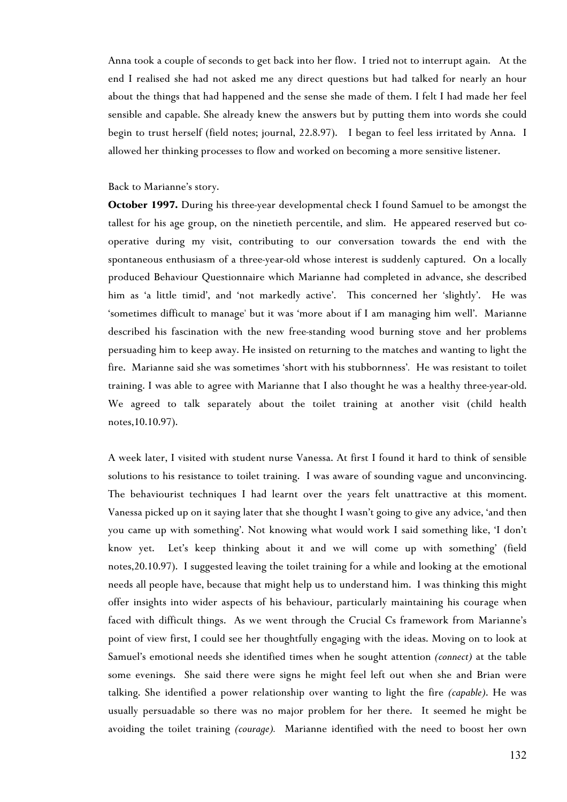Anna took a couple of seconds to get back into her flow. I tried not to interrupt again. At the end I realised she had not asked me any direct questions but had talked for nearly an hour about the things that had happened and the sense she made of them. I felt I had made her feel sensible and capable. She already knew the answers but by putting them into words she could begin to trust herself (field notes; journal, 22.8.97). I began to feel less irritated by Anna. I allowed her thinking processes to flow and worked on becoming a more sensitive listener.

## Back to Marianne's story.

**October 1997.** During his three-year developmental check I found Samuel to be amongst the tallest for his age group, on the ninetieth percentile, and slim. He appeared reserved but cooperative during my visit, contributing to our conversation towards the end with the spontaneous enthusiasm of a three-year-old whose interest is suddenly captured. On a locally produced Behaviour Questionnaire which Marianne had completed in advance, she described him as 'a little timid', and 'not markedly active'. This concerned her 'slightly'. He was 'sometimes difficult to manage' but it was 'more about if I am managing him well'. Marianne described his fascination with the new free-standing wood burning stove and her problems persuading him to keep away. He insisted on returning to the matches and wanting to light the fire. Marianne said she was sometimes 'short with his stubbornness'*.* He was resistant to toilet training. I was able to agree with Marianne that I also thought he was a healthy three-year-old. We agreed to talk separately about the toilet training at another visit (child health notes,10.10.97).

A week later, I visited with student nurse Vanessa. At first I found it hard to think of sensible solutions to his resistance to toilet training. I was aware of sounding vague and unconvincing. The behaviourist techniques I had learnt over the years felt unattractive at this moment. Vanessa picked up on it saying later that she thought I wasn't going to give any advice, 'and then you came up with something'. Not knowing what would work I said something like, 'I don't know yet. Let's keep thinking about it and we will come up with something' (field notes,20.10.97). I suggested leaving the toilet training for a while and looking at the emotional needs all people have, because that might help us to understand him. I was thinking this might offer insights into wider aspects of his behaviour, particularly maintaining his courage when faced with difficult things. As we went through the Crucial Cs framework from Marianne's point of view first, I could see her thoughtfully engaging with the ideas. Moving on to look at Samuel's emotional needs she identified times when he sought attention *(connect)* at the table some evenings. She said there were signs he might feel left out when she and Brian were talking. She identified a power relationship over wanting to light the fire *(capable)*. He was usually persuadable so there was no major problem for her there. It seemed he might be avoiding the toilet training *(courage).* Marianne identified with the need to boost her own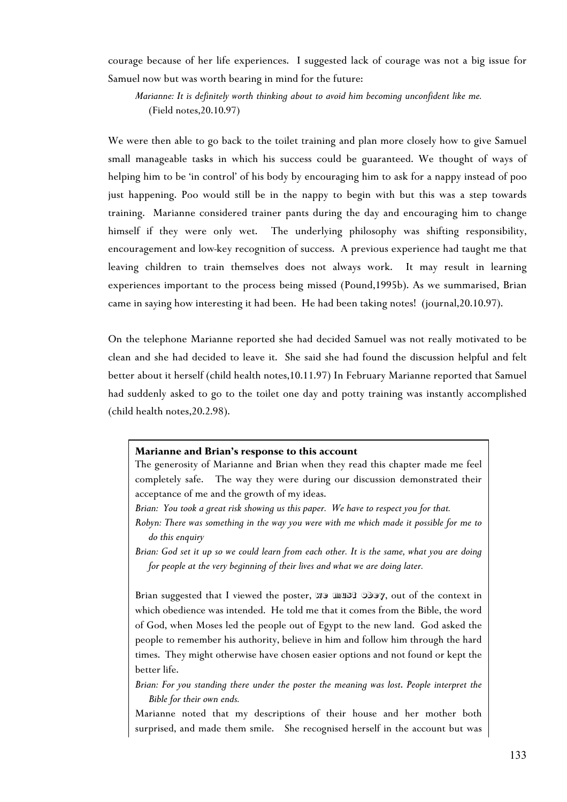courage because of her life experiences. I suggested lack of courage was not a big issue for Samuel now but was worth bearing in mind for the future:

*Marianne: It is definitely worth thinking about to avoid him becoming unconfident like me.* (Field notes,20.10.97)

We were then able to go back to the toilet training and plan more closely how to give Samuel small manageable tasks in which his success could be guaranteed. We thought of ways of helping him to be 'in control' of his body by encouraging him to ask for a nappy instead of poo just happening. Poo would still be in the nappy to begin with but this was a step towards training. Marianne considered trainer pants during the day and encouraging him to change himself if they were only wet. The underlying philosophy was shifting responsibility, encouragement and low-key recognition of success. A previous experience had taught me that leaving children to train themselves does not always work. It may result in learning experiences important to the process being missed (Pound,1995b). As we summarised, Brian came in saying how interesting it had been. He had been taking notes! (journal,20.10.97).

On the telephone Marianne reported she had decided Samuel was not really motivated to be clean and she had decided to leave it. She said she had found the discussion helpful and felt better about it herself (child health notes,10.11.97) In February Marianne reported that Samuel had suddenly asked to go to the toilet one day and potty training was instantly accomplished (child health notes,20.2.98).

## **Marianne and Brian's response to this account**

The generosity of Marianne and Brian when they read this chapter made me feel completely safe. The way they were during our discussion demonstrated their acceptance of me and the growth of my ideas.

*Brian: You took a great risk showing us this paper. We have to respect you for that.*

*Robyn: There was something in the way you were with me which made it possible for me to do this enquiry*

*Brian: God set it up so we could learn from each other. It is the same, what you are doing for people at the very beginning of their lives and what we are doing later.*

Brian suggested that I viewed the poster, we must obey, out of the context in which obedience was intended. He told me that it comes from the Bible, the word of God, when Moses led the people out of Egypt to the new land. God asked the people to remember his authority, believe in him and follow him through the hard times. They might otherwise have chosen easier options and not found or kept the better life.

*Brian: For you standing there under the poster the meaning was lost*. *People interpret the Bible for their own ends.*

Marianne noted that my descriptions of their house and her mother both surprised, and made them smile. She recognised herself in the account but was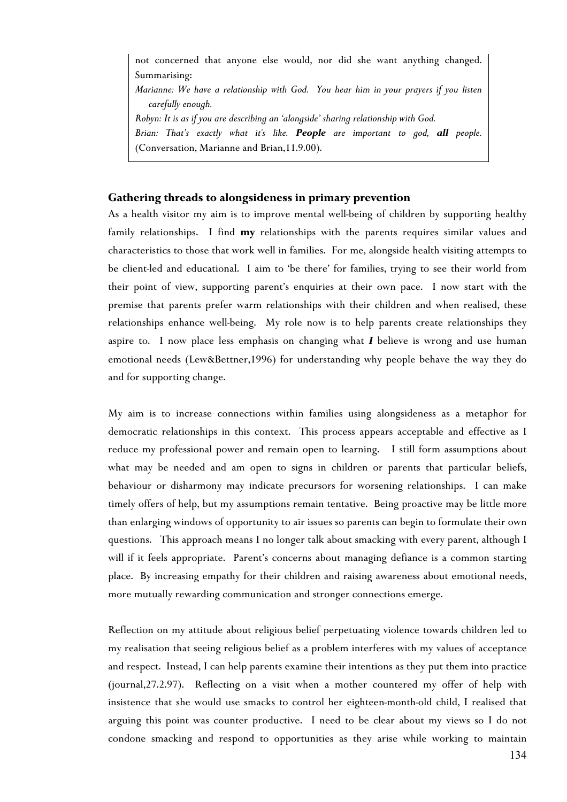not concerned that anyone else would, nor did she want anything changed. Summarising: *Marianne: We have a relationship with God. You hear him in your prayers if you listen carefully enough. Robyn: It is as if you are describing an 'alongside' sharing relationship with God. Brian: That's exactly what it's like. People are important to god, all people.* (Conversation, Marianne and Brian,11.9.00).

## **Gathering threads to alongsideness in primary prevention**

As a health visitor my aim is to improve mental well-being of children by supporting healthy family relationships. I find **my** relationships with the parents requires similar values and characteristics to those that work well in families. For me, alongside health visiting attempts to be client-led and educational. I aim to 'be there' for families, trying to see their world from their point of view, supporting parent's enquiries at their own pace. I now start with the premise that parents prefer warm relationships with their children and when realised, these relationships enhance well-being. My role now is to help parents create relationships they aspire to. I now place less emphasis on changing what *I* believe is wrong and use human emotional needs (Lew&Bettner,1996) for understanding why people behave the way they do and for supporting change.

My aim is to increase connections within families using alongsideness as a metaphor for democratic relationships in this context. This process appears acceptable and effective as I reduce my professional power and remain open to learning. I still form assumptions about what may be needed and am open to signs in children or parents that particular beliefs, behaviour or disharmony may indicate precursors for worsening relationships. I can make timely offers of help, but my assumptions remain tentative. Being proactive may be little more than enlarging windows of opportunity to air issues so parents can begin to formulate their own questions. This approach means I no longer talk about smacking with every parent, although I will if it feels appropriate. Parent's concerns about managing defiance is a common starting place. By increasing empathy for their children and raising awareness about emotional needs, more mutually rewarding communication and stronger connections emerge.

<span id="page-26-0"></span>Reflection on my attitude about religious belief perpetuating violence towards children led to my realisation that seeing religious belief as a problem interferes with my values of acceptance and respect. Instead, I can help parents examine their intentions as they put the[m i](#page-26-0)nto practice (journal,27.2.97). Reflecting on a visit when a mother countered my offer of help with insistence that she would use smacks to control her eighteen-month-old child, I realised that arguing this point was counter productive. I need to be clear about my views so I do not condone smacking and respond to opportunities as they arise while working to maintain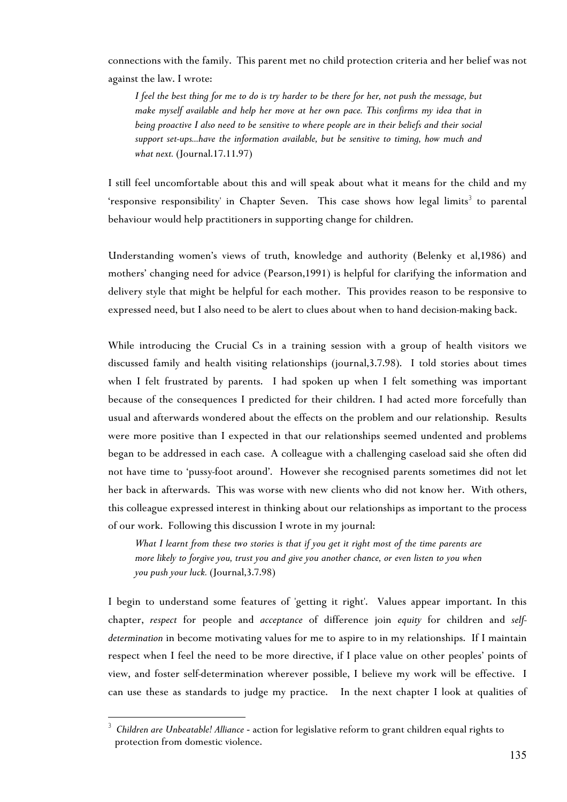connections with the family. This parent met no child protection criteria and her belief was not against the law. I wrote:

*I feel the best thing for me to do is try harder to be there for her, not push the message, but make myself available and help her move at her own pace. This confirms my idea that in being proactive I also need to be sensitive to where people are in their beliefs and their social support set-ups...have the information available, but be sensitive to timing, how much and what next.* (Journal.17.11.97)

I still feel uncomfortable about this and will speak about what it means for the child and my 'responsive responsibility' in Chapter Seven. This case shows how legal limits $^3$  to parental behaviour would help practitioners in supporting change for children.

Understanding women's views of truth, knowledge and authority (Belenky et al,1986) and mothers' changing need for advice (Pearson,1991) is helpful for clarifying the information and delivery style that might be helpful for each mother. This provides reason to be responsive to expressed need, but I also need to be alert to clues about when to hand decision-making back.

While introducing the Crucial Cs in a training session with a group of health visitors we discussed family and health visiting relationships (journal,3.7.98). I told stories about times when I felt frustrated by parents. I had spoken up when I felt something was important because of the consequences I predicted for their children. I had acted more forcefully than usual and afterwards wondered about the effects on the problem and our relationship. Results were more positive than I expected in that our relationships seemed undented and problems began to be addressed in each case. A colleague with a challenging caseload said she often did not have time to 'pussy-foot around'. However she recognised parents sometimes did not let her back in afterwards. This was worse with new clients who did not know her. With others, this colleague expressed interest in thinking about our relationships as important to the process of our work. Following this discussion I wrote in my journal:

*What I learnt from these two stories is that if you get it right most of the time parents are more likely to forgive you, trust you and give you another chance, or even listen to you when you push your luck.* (Journal,3.7.98)

I begin to understand some features of 'getting it right'. Values appear important. In this chapter, *respect* for people and *acceptance* of difference join *equity* for children and *selfdetermination* in become motivating values for me to aspire to in my relationships. If I maintain respect when I feel the need to be more directive, if I place value on other peoples' points of view, and foster self-determination wherever possible, I believe my work will be effective. I can use these as standards to judge my practice. In the next chapter I look at qualities of

 $\overline{a}$ 

<sup>3</sup> *Children are Unbeatable! Alliance* - action for legislative reform to grant children equal rights to protection from domestic violence.